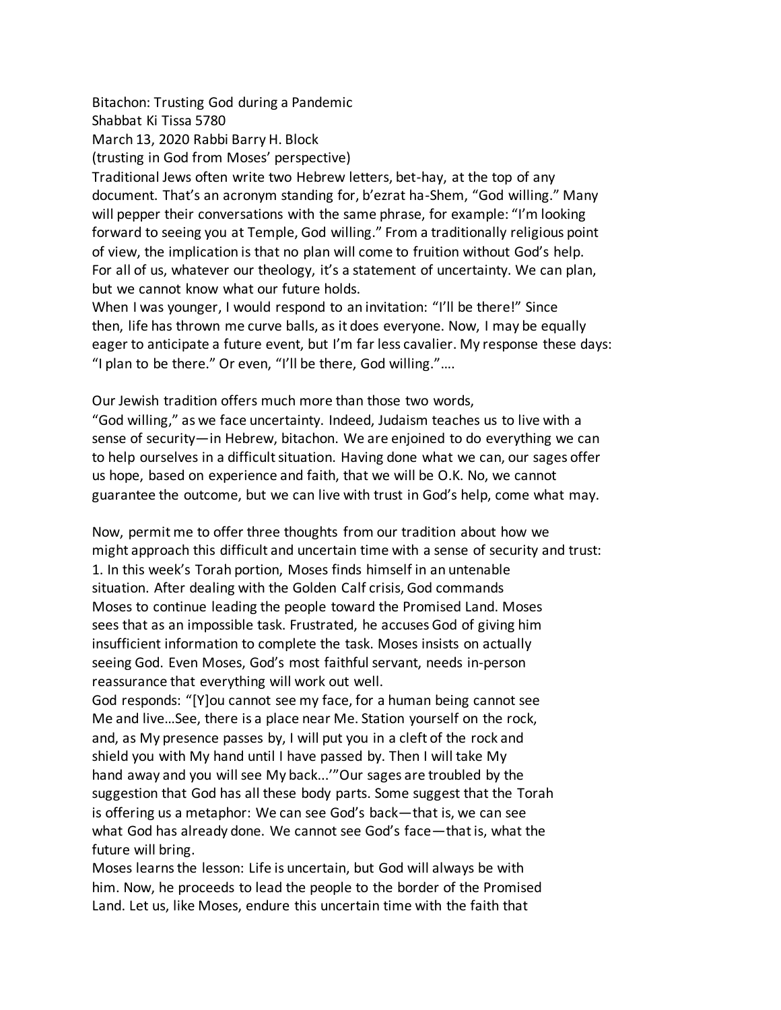Bitachon: Trusting God during a Pandemic

Shabbat Ki Tissa 5780

March 13, 2020 Rabbi Barry H. Block

(trusting in God from Moses' perspective)

Traditional Jews often write two Hebrew letters, bet-hay, at the top of any document. That's an acronym standing for, b'ezrat ha-Shem, "God willing." Many will pepper their conversations with the same phrase, for example: "I'm looking forward to seeing you at Temple, God willing." From a traditionally religious point of view, the implication is that no plan will come to fruition without God's help. For all of us, whatever our theology, it's a statement of uncertainty. We can plan, but we cannot know what our future holds.

When I was younger, I would respond to an invitation: "I'll be there!" Since then, life has thrown me curve balls, as it does everyone. Now, I may be equally eager to anticipate a future event, but I'm far less cavalier. My response these days: "I plan to be there." Or even, "I'll be there, God willing."….

Our Jewish tradition offers much more than those two words,

"God willing," as we face uncertainty. Indeed, Judaism teaches us to live with a sense of security—in Hebrew, bitachon. We are enjoined to do everything we can to help ourselves in a difficult situation. Having done what we can, our sages offer us hope, based on experience and faith, that we will be O.K. No, we cannot guarantee the outcome, but we can live with trust in God's help, come what may.

Now, permit me to offer three thoughts from our tradition about how we might approach this difficult and uncertain time with a sense of security and trust: 1. In this week's Torah portion, Moses finds himself in an untenable situation. After dealing with the Golden Calf crisis, God commands Moses to continue leading the people toward the Promised Land. Moses sees that as an impossible task. Frustrated, he accuses God of giving him insufficient information to complete the task. Moses insists on actually seeing God. Even Moses, God's most faithful servant, needs in-person reassurance that everything will work out well.

God responds: "[Y]ou cannot see my face, for a human being cannot see Me and live…See, there is a place near Me. Station yourself on the rock, and, as My presence passes by, I will put you in a cleft of the rock and shield you with My hand until I have passed by. Then I will take My hand away and you will see My back...'"Our sages are troubled by the suggestion that God has all these body parts. Some suggest that the Torah is offering us a metaphor: We can see God's back—that is, we can see what God has already done. We cannot see God's face—that is, what the future will bring.

Moses learns the lesson: Life is uncertain, but God will always be with him. Now, he proceeds to lead the people to the border of the Promised Land. Let us, like Moses, endure this uncertain time with the faith that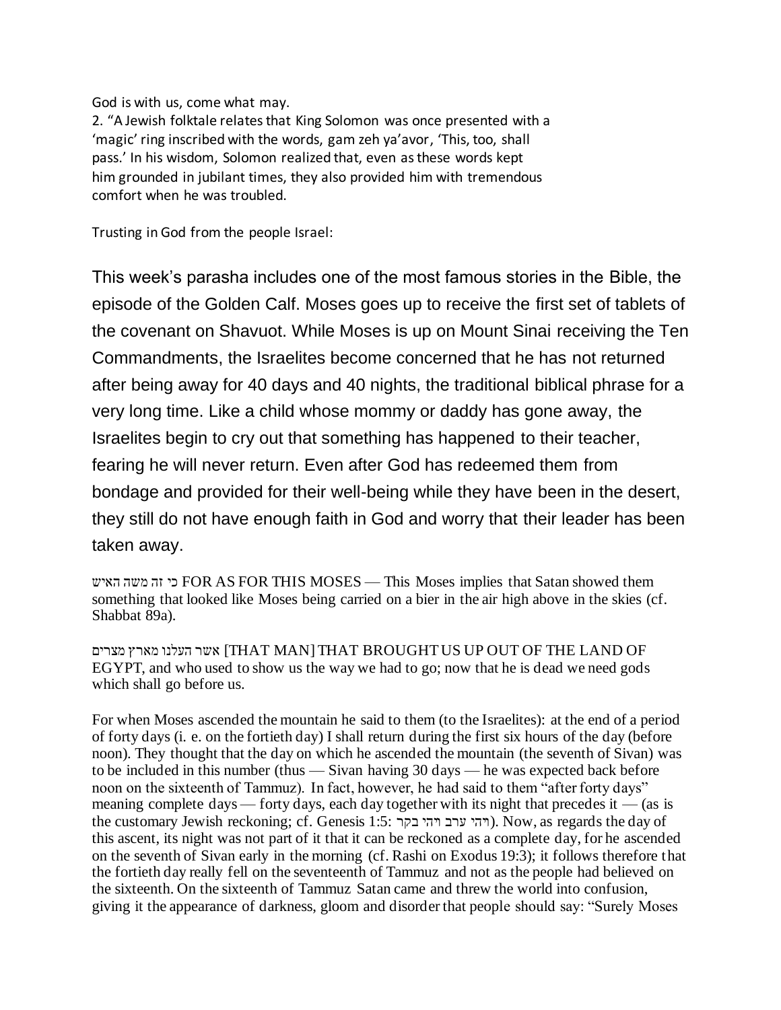## God is with us, come what may.

2. "A Jewish folktale relates that King Solomon was once presented with a 'magic' ring inscribed with the words, gam zeh ya'avor, 'This, too, shall pass.' In his wisdom, Solomon realized that, even as these words kept him grounded in jubilant times, they also provided him with tremendous comfort when he was troubled.

Trusting in God from the people Israel:

This week's parasha includes one of the most famous stories in the Bible, the episode of the Golden Calf. Moses goes up to receive the first set of tablets of the covenant on Shavuot. While Moses is up on Mount Sinai receiving the Ten Commandments, the Israelites become concerned that he has not returned after being away for 40 days and 40 nights, the traditional biblical phrase for a very long time. Like a child whose mommy or daddy has gone away, the Israelites begin to cry out that something has happened to their teacher, fearing he will never return. Even after God has redeemed them from bondage and provided for their well-being while they have been in the desert, they still do not have enough faith in God and worry that their leader has been taken away.

האיש משה זה כי FOR AS FOR THIS MOSES — This Moses implies that Satan showed them something that looked like Moses being carried on a bier in the air high above in the skies (cf. Shabbat 89a).

מצרים מארץ העלנו אשר] THAT MAN] THAT BROUGHT US UP OUT OF THE LAND OF EGYPT, and who used to show us the way we had to go; now that he is dead we need gods which shall go before us.

For when Moses ascended the mountain he said to them (to the Israelites): at the end of a period of forty days (i. e. on the fortieth day) I shall return during the first six hours of the day (before noon). They thought that the day on which he ascended the mountain (the seventh of Sivan) was to be included in this number (thus — Sivan having 30 days — he was expected back before noon on the sixteenth of Tammuz). In fact, however, he had said to them "after forty days" meaning complete days — forty days, each day together with its night that precedes it — (as is the customary Jewish reckoning; cf. Genesis 1:5: בקר ויהי ערב ויהי(. Now, as regards the day of this ascent, its night was not part of it that it can be reckoned as a complete day, for he ascended on the seventh of Sivan early in the morning (cf. Rashi on Exodus 19:3); it follows therefore that the fortieth day really fell on the seventeenth of Tammuz and not as the people had believed on the sixteenth. On the sixteenth of Tammuz Satan came and threw the world into confusion, giving it the appearance of darkness, gloom and disorder that people should say: "Surely Moses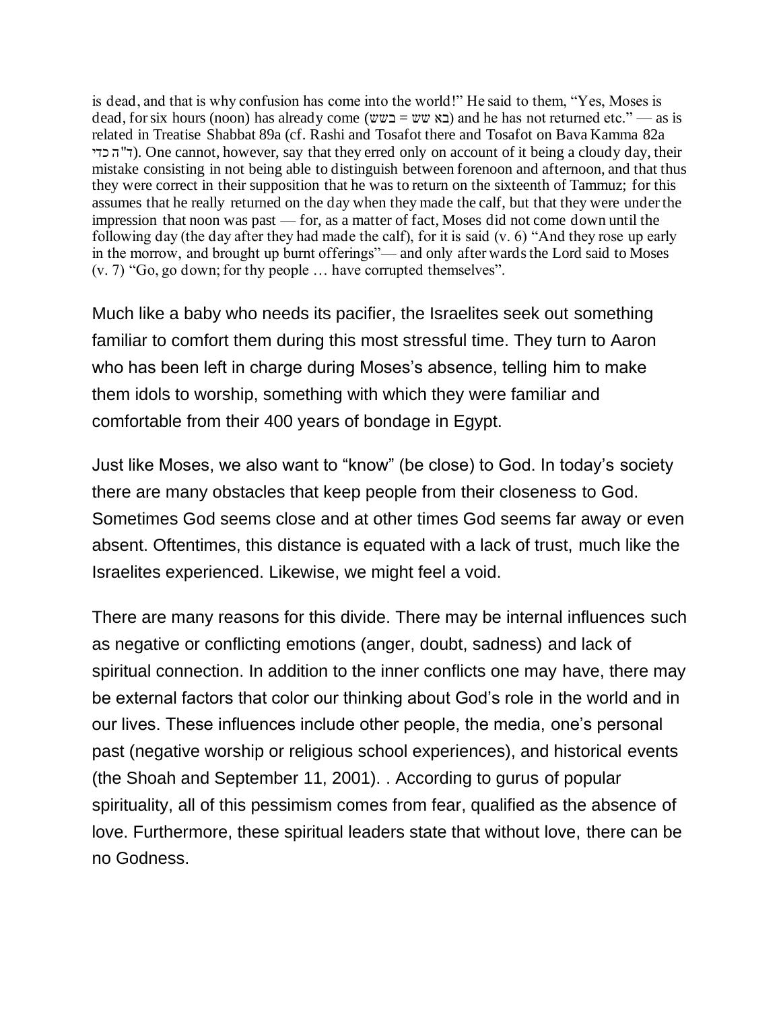is dead, and that is why confusion has come into the world!" He said to them, "Yes, Moses is dead, for six hours (noon) has already come  $(ww = ww)$  and he has not returned etc." — as is related in Treatise Shabbat 89a (cf. Rashi and Tosafot there and Tosafot on Bava Kamma 82a (ד"ה כדי). One cannot, however, say that they erred only on account of it being a cloudy day, their mistake consisting in not being able to distinguish between forenoon and afternoon, and that thus they were correct in their supposition that he was to return on the sixteenth of Tammuz; for this assumes that he really returned on the day when they made the calf, but that they were under the impression that noon was past — for, as a matter of fact, Moses did not come down until the following day (the day after they had made the calf), for it is said (v. 6) "And they rose up early in the morrow, and brought up burnt offerings"— and only after wards the Lord said to Moses (v. 7) "Go, go down; for thy people … have corrupted themselves".

Much like a baby who needs its pacifier, the Israelites seek out something familiar to comfort them during this most stressful time. They turn to Aaron who has been left in charge during Moses's absence, telling him to make them idols to worship, something with which they were familiar and comfortable from their 400 years of bondage in Egypt.

Just like Moses, we also want to "know" (be close) to God. In today's society there are many obstacles that keep people from their closeness to God. Sometimes God seems close and at other times God seems far away or even absent. Oftentimes, this distance is equated with a lack of trust, much like the Israelites experienced. Likewise, we might feel a void.

There are many reasons for this divide. There may be internal influences such as negative or conflicting emotions (anger, doubt, sadness) and lack of spiritual connection. In addition to the inner conflicts one may have, there may be external factors that color our thinking about God's role in the world and in our lives. These influences include other people, the media, one's personal past (negative worship or religious school experiences), and historical events (the Shoah and September 11, 2001). . According to gurus of popular spirituality, all of this pessimism comes from fear, qualified as the absence of love. Furthermore, these spiritual leaders state that without love, there can be no Godness.